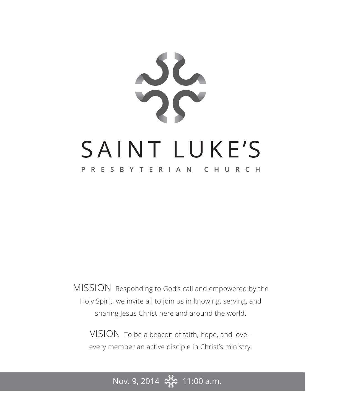

MISSION Responding to God's call and empowered by the Holy Spirit, we invite all to join us in knowing, serving, and sharing Jesus Christ here and around the world.

VISION To be a beacon of faith, hope, and love – every member an active disciple in Christ's ministry.

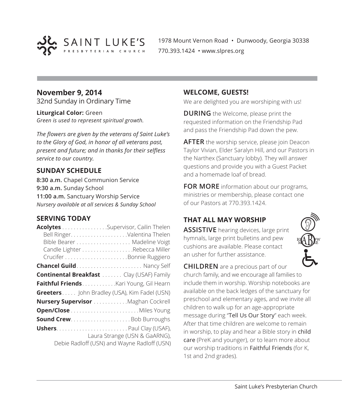

1978 Mount Vernon Road • Dunwoody, Georgia 30338 770.393.1424 • www.slpres.org

#### **November 9, 2014** 32nd Sunday in Ordinary Time

**Liturgical Color:** Green *Green is used to represent spiritual growth.* 

*The flowers are given by the veterans of Saint Luke's to the Glory of God, in honor of all veterans past, present and future; and in thanks for their selfless service to our country.*

#### **SUNDAY SCHEDULE**

**8:30 a.m.** Chapel Communion Service **9:30 a.m.** Sunday School **11:00 a.m.** Sanctuary Worship Service *Nursery available at all services & Sunday School*

#### **SERVING TODAY**

| Acolytes Supervisor, Cailin Thelen               |                                             |
|--------------------------------------------------|---------------------------------------------|
|                                                  |                                             |
|                                                  |                                             |
|                                                  | Candle Lighter Rebecca Miller               |
|                                                  |                                             |
| <b>Chancel Guild</b> Nancy Self                  |                                             |
| <b>Continental Breakfast </b> Clay (USAF) Family |                                             |
| Faithful Friends. Kari Young, Gil Hearn          |                                             |
| Greeters John Bradley (USA), Kim Fadel (USN)     |                                             |
| Nursery Supervisor Maghan Cockrell               |                                             |
|                                                  |                                             |
|                                                  |                                             |
|                                                  |                                             |
|                                                  | Laura Strange (USN & GaARNG),               |
|                                                  | Debie Radloff (USN) and Wayne Radloff (USN) |

#### **WELCOME, GUESTS!**

We are delighted you are worshiping with us!

**DURING** the Welcome, please print the requested information on the Friendship Pad and pass the Friendship Pad down the pew.

**AFTER** the worship service, please join Deacon Taylor Vivian, Elder Saralyn Hill, and our Pastors in the Narthex (Sanctuary lobby). They will answer questions and provide you with a Guest Packet and a homemade loaf of bread.

**FOR MORE** information about our programs, ministries or membership, please contact one of our Pastors at 770.393.1424.

# **THAT ALL MAY WORSHIP**

**ASSISTIVE** hearing devices, large print hymnals, large print bulletins and pew cushions are available. Please contact an usher for further assistance.

**CHILDREN** are a precious part of our church family, and we encourage all families to include them in worship. Worship notebooks are available on the back ledges of the sanctuary for preschool and elementary ages, and we invite all children to walk up for an age-appropriate message during "Tell Us Our Story" each week. After that time children are welcome to remain in worship, to play and hear a Bible story in child care (PreK and younger), or to learn more about our worship traditions in Faithful Friends (for K, 1st and 2nd grades).

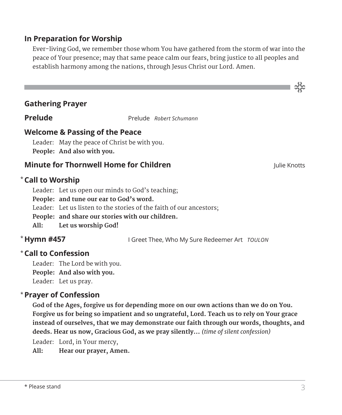# **In Preparation for Worship**

 Ever-living God, we remember those whom You have gathered from the storm of war into the peace of Your presence; may that same peace calm our fears, bring justice to all peoples and establish harmony among the nations, through Jesus Christ our Lord. Amen.

#### **Gathering Prayer**

**Prelude** Prelude *Robert Schumann* 

### **Welcome & Passing of the Peace**

Leader: May the peace of Christ be with you. **People: And also with you.**

#### **Minute for Thornwell Home for Children** Julie Knotts Julie Knotts

**Call to Worship** \*

Leader: Let us open our minds to God's teaching;

**People: and tune our ear to God's word.**

Leader: Let us listen to the stories of the faith of our ancestors;

**People: and share our stories with our children.**

**All: Let us worship God!**

# \* Hymn #457

**Hymn #457** I Greet Thee, Who My Sure Redeemer Art *TOULON*

## **Call to Confession**  \*

Leader: The Lord be with you. **People: And also with you.** Leader: Let us pray.

#### **Prayer of Confession**  \*

 **God of the Ages, forgive us for depending more on our own actions than we do on You. Forgive us for being so impatient and so ungrateful, Lord. Teach us to rely on Your grace instead of ourselves, that we may demonstrate our faith through our words, thoughts, and deeds. Hear us now, Gracious God, as we pray silently...** *(time of silent confession)*

Leader: Lord, in Your mercy,

**All: Hear our prayer, Amen.**

ာင်<br>သင်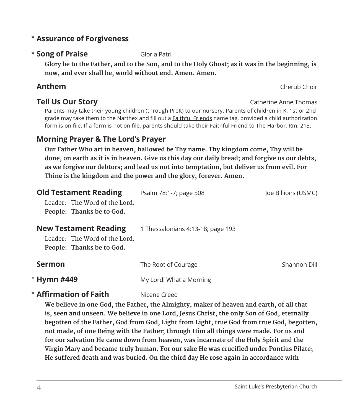# **Assurance of Forgiveness** \*

# **\* Song of Praise** Gloria Patri

 **Glory be to the Father, and to the Son, and to the Holy Ghost; as it was in the beginning, is now, and ever shall be, world without end. Amen. Amen.**

# **Anthem** Cherub Choir

# **Tell Us Our Story Catherine Anne Thomas**

 Parents may take their young children (through PreK) to our nursery. Parents of children in K, 1st or 2nd grade may take them to the Narthex and fill out a Faithful Friends name tag, provided a child authorization form is on file. If a form is not on file, parents should take their Faithful Friend to The Harbor, Rm. 213.

# **Morning Prayer & The Lord's Prayer**

 **Our Father Who art in heaven, hallowed be Thy name. Thy kingdom come, Thy will be done, on earth as it is in heaven. Give us this day our daily bread; and forgive us our debts, as we forgive our debtors; and lead us not into temptation, but deliver us from evil. For Thine is the kingdom and the power and the glory, forever. Amen.**

| <b>Old Testament Reading</b><br>Leader: The Word of the Lord.<br>People: Thanks be to God. | Psalm 78:1-7; page 508            | loe Billions (USMC) |
|--------------------------------------------------------------------------------------------|-----------------------------------|---------------------|
| <b>New Testament Reading</b><br>Leader: The Word of the Lord.<br>People: Thanks be to God. | 1 Thessalonians 4:13-18; page 193 |                     |
| <b>Sermon</b>                                                                              | The Root of Courage               | Shannon Dill        |
| * Hymn #449                                                                                | My Lord! What a Morning           |                     |

# **\* Affirmation of Faith** Nicene Creed

 **We believe in one God, the Father, the Almighty, maker of heaven and earth, of all that is, seen and unseen. We believe in one Lord, Jesus Christ, the only Son of God, eternally begotten of the Father, God from God, Light from Light, true God from true God, begotten, not made, of one Being with the Father; through Him all things were made. For us and for our salvation He came down from heaven, was incarnate of the Holy Spirit and the Virgin Mary and became truly human. For our sake He was crucified under Pontius Pilate; He suffered death and was buried. On the third day He rose again in accordance with**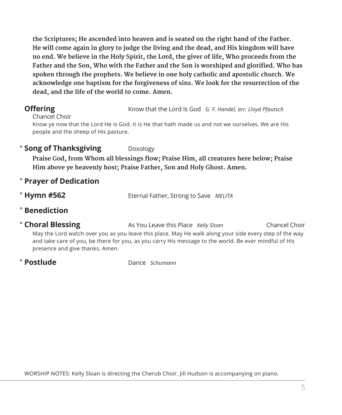**the Scriptures; He ascended into heaven and is seated on the right hand of the Father. He will come again in glory to judge the living and the dead, and His kingdom will have no end. We believe in the Holy Spirit, the Lord, the giver of life, Who proceeds from the Father and the Son, Who with the Father and the Son is worshiped and glorified. Who has spoken through the prophets. We believe in one holy catholic and apostolic church. We acknowledge one baptism for the forgiveness of sins. We look for the resurrection of the dead, and the life of the world to come. Amen.**

**Offering** Know that the Lord Is God *G. F. Handel, arr. Lloyd Pfautsch* 

Chancel Choir Know ye now that the Lord He is God. It is He that hath made us and not we ourselves. We are His people and the sheep of His pasture.

# **\* Song of Thanksgiving** Doxology

**Praise God, from Whom all blessings flow; Praise Him, all creatures here below; Praise Him above ye heavenly host; Praise Father, Son and Holy Ghost. Amen.**

- \* **Prayer of Dedication**
- \* Hymn #562 **Hymn #562** Eternal Father, Strong to Save *MELITA*
- \* **Benediction**
- \* Choral Blessing As You Leave this Place *Kelly Sloan* Chancel Choir May the Lord watch over you as you leave this place. May He walk along your side every step of the way and take care of you, be there for you, as you carry His message to the world. Be ever mindful of His presence and give thanks. Amen.
- \* Postlude

**Postlude** Dance *Schumann*

WORSHIP NOTES: Kelly Sloan is directing the Cherub Choir. Jill Hudson is accompanying on piano.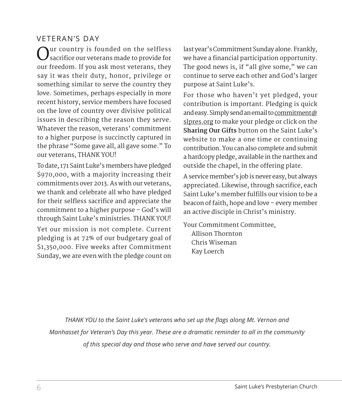# VETERAN'S DAY

Our country is founded on the selfless sacrifice our veterans made to provide for our freedom. If you ask most veterans, they say it was their duty, honor, privilege or something similar to serve the country they love. Sometimes, perhaps especially in more recent history, service members have focused on the love of country over divisive political issues in describing the reason they serve. Whatever the reason, veterans' commitment to a higher purpose is succinctly captured in the phrase "Some gave all, all gave some." To our veterans, THANK YOU!

To date, 171 Saint Luke's members have pledged \$970,000, with a majority increasing their commitments over 2013. As with our veterans, we thank and celebrate all who have pledged for their selfless sacrifice and appreciate the commitment to a higher purpose – God's will through Saint Luke's ministries. THANK YOU!

Yet our mission is not complete. Current pledging is at 72% of our budgetary goal of \$1,350,000. Five weeks after Commitment Sunday, we are even with the pledge count on

last year's Commitment Sunday alone. Frankly, we have a financial participation opportunity. The good news is, if "all give some," we can continue to serve each other and God's larger purpose at Saint Luke's.

For those who haven't yet pledged, your contribution is important. Pledging is quick and easy. Simply send an email to commitment@ slpres.org to make your pledge or click on the **Sharing Our Gifts** button on the Saint Luke's website to make a one time or continuing contribution. You can also complete and submit a hardcopy pledge, available in the narthex and outside the chapel, in the offering plate.

A service member's job is never easy, but always appreciated. Likewise, through sacrifice, each Saint Luke's member fulfills our vision to be a beacon of faith, hope and love – every member an active disciple in Christ's ministry.

Your Commitment Committee, Allison Thornton Chris Wiseman Kay Loerch

*THANK YOU to the Saint Luke's veterans who set up the flags along Mt. Vernon and Manhasset for Veteran's Day this year. These are a dramatic reminder to all in the community of this special day and those who serve and have served our country.*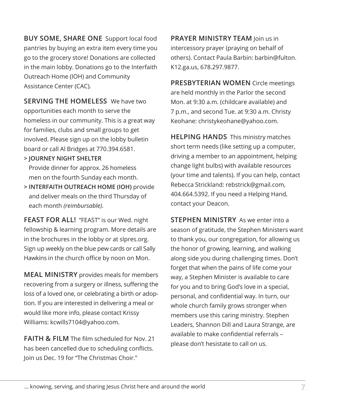**BUY SOME, SHARE ONE** Support local food pantries by buying an extra item every time you go to the grocery store! Donations are collected in the main lobby. Donations go to the Interfaith Outreach Home (IOH) and Community Assistance Center (CAC).

**SERVING THE HOMELESS** We have two opportunities each month to serve the homeless in our community. This is a great way for families, clubs and small groups to get involved. Please sign up on the lobby bulletin board or call Al Bridges at 770.394.6581.

**> JOURNEY NIGHT SHELTER**

Provide dinner for approx. 26 homeless men on the fourth Sunday each month.

**> INTERFAITH OUTREACH HOME (IOH)** provide and deliver meals on the third Thursday of each month *(reimbursable)*.

**FEAST FOR ALL!** "FEAST" is our Wed. night fellowship & learning program. More details are in the brochures in the lobby or at slpres.org. Sign up weekly on the blue pew cards or call Sally Hawkins in the church office by noon on Mon.

**MEAL MINISTRY** provides meals for members recovering from a surgery or illness, suffering the loss of a loved one, or celebrating a birth or adoption. If you are interested in delivering a meal or would like more info, please contact Krissy Williams: kcwills7104@yahoo.com.

**FAITH & FILM** The film scheduled for Nov. 21 has been cancelled due to scheduling conflicts. Join us Dec. 19 for "The Christmas Choir."

**PRAYER MINISTRY TEAM** Join us in intercessory prayer (praying on behalf of others). Contact Paula Barbin: barbin@fulton. K12.ga.us, 678.297.9877.

**PRESBYTERIAN WOMEN** Circle meetings are held monthly in the Parlor the second Mon. at 9:30 a.m. (childcare available) and 7 p.m., and second Tue. at 9:30 a.m. Christy Keohane: christykeohane@yahoo.com.

**HELPING HANDS** This ministry matches short term needs (like setting up a computer, driving a member to an appointment, helping change light bulbs) with available resources (your time and talents). If you can help, contact Rebecca Strickland: rebstrick@gmail.com, 404.664.5392. If you need a Helping Hand, contact your Deacon.

**STEPHEN MINISTRY** As we enter into a season of gratitude, the Stephen Ministers want to thank you, our congregation, for allowing us the honor of growing, learning, and walking along side you during challenging times. Don't forget that when the pains of life come your way, a Stephen Minister is available to care for you and to bring God's love in a special, personal, and confidential way. In turn, our whole church family grows stronger when members use this caring ministry. Stephen Leaders, Shannon Dill and Laura Strange, are available to make confidential referrals – please don't hesistate to call on us.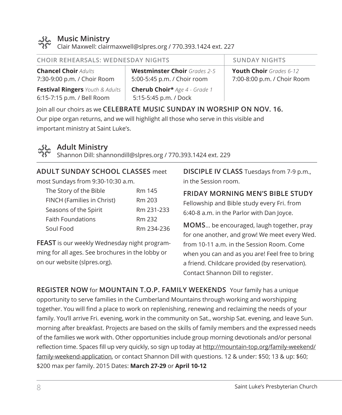

### **Music Ministry**

Clair Maxwell: clairmaxwell@slpres.org / 770.393.1424 ext. 227

**Chancel Choir** *Adults* 7:30-9:00 p.m. / Choir Room

**Festival Ringers** *Youth & Adults*  6:15-7:15 p.m. / Bell Room

**Westminster Choir** *Grades 2-5* 5:00-5:45 p.m. / Choir room **Cherub Choir\*** *Age 4 - Grade 1* 5:15-5:45 p.m. / Dock

**CHOIR REHEARSALS: WEDNESDAY NIGHTS SUNDAY NIGHTS** 

**Youth Choir** *Grades 6-12* 7:00-8:00 p.m. / Choir Room

Join all our choirs as we **CELEBRATE MUSIC SUNDAY IN WORSHIP ON NOV. 16.** Our pipe organ returns, and we will highlight all those who serve in this visible and important ministry at Saint Luke's.



# **Adult Ministry**

Shannon Dill: shannondill@slpres.org / 770.393.1424 ext. 229

## **ADULT SUNDAY SCHOOL CLASSES** meet

most Sundays from 9:30-10:30 a.m.

| The Story of the Bible     | Rm 145     |
|----------------------------|------------|
| FINCH (Families in Christ) | Rm 203     |
| Seasons of the Spirit      | Rm 231-233 |
| <b>Faith Foundations</b>   | Rm 232     |
| Soul Food                  | Rm 234-236 |

**FEAST** is our weekly Wednesday night programming for all ages. See brochures in the lobby or on our website (slpres.org).

**DISCIPLE IV CLASS** Tuesdays from 7-9 p.m., in the Session room.

# **FRIDAY MORNING MEN'S BIBLE STUDY**

Fellowship and Bible study every Fri. from 6:40-8 a.m. in the Parlor with Dan Joyce.

**MOMS**... be encouraged, laugh together, pray for one another, and grow! We meet every Wed. from 10-11 a.m. in the Session Room. Come when you can and as you are! Feel free to bring a friend. Childcare provided (by reservation). Contact Shannon Dill to register.

**REGISTER NOW** for **MOUNTAIN T.O.P. FAMILY WEEKENDS** Your family has a unique opportunity to serve families in the Cumberland Mountains through working and worshipping together. You will find a place to work on replenishing, renewing and reclaiming the needs of your family. You'll arrive Fri. evening, work in the community on Sat., worship Sat. evening, and leave Sun. morning after breakfast. Projects are based on the skills of family members and the expressed needs of the families we work with. Other opportunities include group morning devotionals and/or personal reflection time. Spaces fill up very quickly, so sign up today at http://mountain-top.org/family-weekend/ family-weekend-application, or contact Shannon Dill with questions. 12 & under: \$50; 13 & up: \$60; \$200 max per family. 2015 Dates: **March 27-29** or **April 10-12**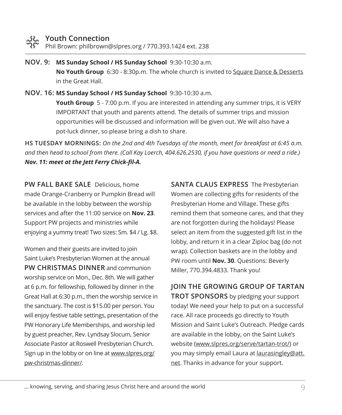Phil Brown: philbrown@slpres.org / 770.393.1424 ext. 238

**NOV. 9: MS Sunday School / HS Sunday School** 9:30-10:30 a.m. **No Youth Group** 6:30 - 8:30p.m. The whole church is invited to Square Dance & Desserts in the Great Hall.

**NOV. 16: MS Sunday School / HS Sunday School** 9:30-10:30 a.m. **Youth Group** 5 - 7:00 p.m. If you are interested in attending any summer trips, it is VERY IMPORTANT that youth and parents attend. The details of summer trips and mission opportunities will be discussed and information will be given out. We will also have a pot-luck dinner, so please bring a dish to share.

**HS TUESDAY MORNINGS:** *On the 2nd and 4th Tuesdays of the month, meet for breakfast at 6:45 a.m. and then head to school from there. (Call Kay Loerch, 404.626.2530, if you have questions or need a ride.) Nov. 11: meet at the Jett Ferry Chick-fil-A.*

**PW FALL BAKE SALE** Delicious, home made Orange-Cranberry or Pumpkin Bread will be available in the lobby between the worship services and after the 11:00 service on **Nov. 23**. Support PW projects and ministries while enjoying a yummy treat! Two sizes: Sm. \$4 / Lg. \$8.

Women and their guests are invited to join Saint Luke's Presbyterian Women at the annual **PW CHRISTMAS DINNER** and communion worship service on Mon., Dec. 8th. We will gather at 6 p.m. for fellowship, followed by dinner in the Great Hall at 6:30 p.m., then the worship service in the sanctuary. The cost is \$15.00 per person. You will enjoy festive table settings, presentation of the PW Honorary Life Memberships, and worship led by guest preacher, Rev. Lyndsay Slocum, Senior Associate Pastor at Roswell Presbyterian Church. Sign up in the lobby or on line at www.slpres.org/ pw-christmas-dinner/.

**SANTA CLAUS EXPRESS** The Presbyterian Women are collecting gifts for residents of the Presbyterian Home and Village. These gifts remind them that someone cares, and that they are not forgotten during the holidays! Please select an item from the suggested gift list in the lobby, and return it in a clear Ziploc bag (do not wrap). Collection baskets are in the lobby and PW room until **Nov. 30**. Questions: Beverly Miller, 770.394.4833. Thank you!

**JOIN THE GROWING GROUP OF TARTAN TROT SPONSORS** by pledging your support today! We need your help to put on a successful race. All race proceeds go directly to Youth Mission and Saint Luke's Outreach. Pledge cards are available in the lobby, on the Saint Luke's website (www.slpres.org/serve/tartan-trot/) or you may simply email Laura at laurasingley@att. net. Thanks in advance for your support.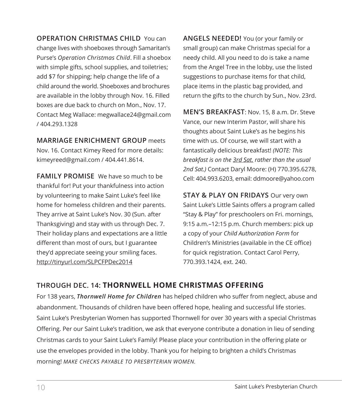**OPERATION CHRISTMAS CHILD** You can change lives with shoeboxes through Samaritan's Purse's *Operation Christmas Child*. Fill a shoebox with simple gifts, school supplies, and toiletries; add \$7 for shipping; help change the life of a child around the world. Shoeboxes and brochures are available in the lobby through Nov. 16. Filled boxes are due back to church on Mon., Nov. 17. Contact Meg Wallace: megwallace24@gmail.com / 404.293.1328

**MARRIAGE ENRICHMENT GROUP** meets Nov. 16. Contact Kimey Reed for more details: kimeyreed@gmail.com / 404.441.8614.

**FAMILY PROMISE** We have so much to be thankful for! Put your thankfulness into action by volunteering to make Saint Luke's feel like home for homeless children and their parents. They arrive at Saint Luke's Nov. 30 (Sun. after Thanksgiving) and stay with us through Dec. 7. Their holiday plans and expectations are a little different than most of ours, but I guarantee they'd appreciate seeing your smiling faces. http://tinyurl.com/SLPCFPDec2014

**ANGELS NEEDED!** You (or your family or small group) can make Christmas special for a needy child. All you need to do is take a name from the Angel Tree in the lobby, use the listed suggestions to purchase items for that child, place items in the plastic bag provided, and return the gifts to the church by Sun., Nov. 23rd.

**MEN'S BREAKFAST**: Nov. 15, 8 a.m. Dr. Steve Vance, our new Interim Pastor, will share his thoughts about Saint Luke's as he begins his time with us. Of course, we will start with a fantastically delicious breakfast! *(NOTE: This breakfast is on the 3rd Sat. rather than the usual 2nd Sat.)* Contact Daryl Moore: (H) 770.395.6278, Cell: 404.993.6203, email: ddmoore@yahoo.com

**STAY & PLAY ON FRIDAYS** Our very own Saint Luke's Little Saints offers a program called "Stay & Play" for preschoolers on Fri. mornings, 9:15 a.m.–12:15 p.m. Church members: pick up a copy of your *Child Authorization Form* for Children's Ministries (available in the CE office) for quick registration. Contact Carol Perry, 770.393.1424, ext. 240.

# **THROUGH DEC. 14: THORNWELL HOME CHRISTMAS OFFERING**

For 138 years, *Thornwell Home for Children* has helped children who suffer from neglect, abuse and abandonment. Thousands of children have been offered hope, healing and successful life stories. Saint Luke's Presbyterian Women has supported Thornwell for over 30 years with a special Christmas Offering. Per our Saint Luke's tradition, we ask that everyone contribute a donation in lieu of sending Christmas cards to your Saint Luke's Family! Please place your contribution in the offering plate or use the envelopes provided in the lobby. Thank you for helping to brighten a child's Christmas morning! *MAKE CHECKS PAYABLE TO PRESBYTERIAN WOMEN.*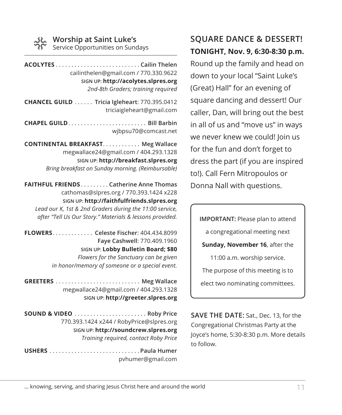#### **Worship at Saint Luke's**

Service Opportunities on Sundays

**ACOLYTES**. **Cailin Thelen** cailinthelen@gmail.com / 770.330.9622 **SIGN UP: http://acolytes.slpres.org** *2nd-8th Graders; training required*

**CHANCEL GUILD**. . **Tricia Igleheart**: 770.395.0412 triciaigleheart@gmail.com

**CHAPEL GUILD**. . **Bill Barbin** wjbpsu70@comcast.net

**CONTINENTAL BREAKFAST. . . . . . . . . . . . Meg Wallace** megwallace24@gmail.com / 404.293.1328 **SIGN UP: http://breakfast.slpres.org** *Bring breakfast on Sunday morning. (Reimbursable)* 

**FAITHFUL FRIENDS**. **Catherine Anne Thomas** cathomas@slpres.org / 770.393.1424 x228 **SIGN UP: http://faithfulfriends.slpres.org** *Lead our K, 1st & 2nd Graders during the 11:00 service, after "Tell Us Our Story." Materials & lessons provided.* 

**FLOWERS**. . **Celeste Fischer**: 404.434.8099 **Faye Cashwell**: 770.409.1960 **SIGN UP: Lobby Bulletin Board; \$80** *Flowers for the Sanctuary can be given in honor/memory of someone or a special event.* 

**GREETERS**. . **Meg Wallace** megwallace24@gmail.com / 404.293.1328 **SIGN UP: http://greeter.slpres.org**

**SOUND & VIDEO**.......................... Roby Price 770.393.1424 x244 / RobyPrice@slpres.org **SIGN UP: http://soundcrew.slpres.org** *Training required, contact Roby Price*

**USHERS**. **Paula Humer** pvhumer@gmail.com

# **SQUARE DANCE & DESSERT! TONIGHT, Nov. 9, 6:30-8:30 p.m.** Round up the family and head on down to your local "Saint Luke's (Great) Hall" for an evening of square dancing and dessert! Our caller, Dan, will bring out the best in all of us and "move us" in ways we never knew we could! Join us for the fun and don't forget to

dress the part (if you are inspired to!). Call Fern Mitropoulos or Donna Nall with questions.

**IMPORTANT:** Please plan to attend a congregational meeting next **Sunday, November 16**, after the 11:00 a.m. worship service. The purpose of this meeting is to elect two nominating committees.

**SAVE THE DATE:** Sat., Dec. 13, for the Congregational Christmas Party at the Joyce's home, 5:30-8:30 p.m. More details to follow.